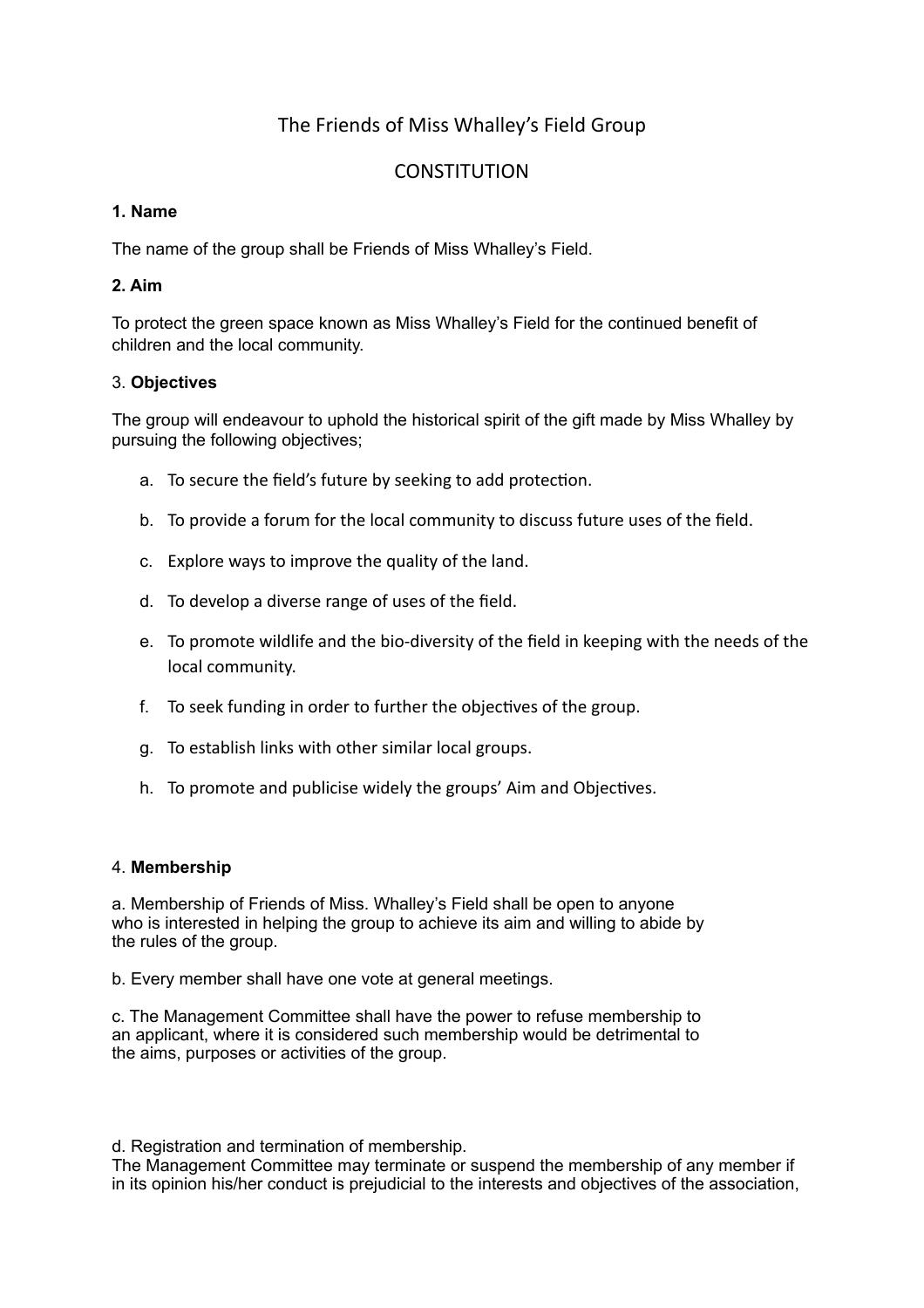# The Friends of Miss Whalley's Field Group

# **CONSTITUTION**

## **1. Name**

The name of the group shall be Friends of Miss Whalley's Field.

# **2. Aim**

To protect the green space known as Miss Whalley's Field for the continued benefit of children and the local community.

## 3. **Objectives**

The group will endeavour to uphold the historical spirit of the gift made by Miss Whalley by pursuing the following objectives;

- a. To secure the field's future by seeking to add protection.
- b. To provide a forum for the local community to discuss future uses of the field.
- c. Explore ways to improve the quality of the land.
- d. To develop a diverse range of uses of the field.
- e. To promote wildlife and the bio-diversity of the field in keeping with the needs of the local community.
- f. To seek funding in order to further the objectives of the group.
- g. To establish links with other similar local groups.
- h. To promote and publicise widely the groups' Aim and Objectives.

## 4. **Membership**

a. Membership of Friends of Miss. Whalley's Field shall be open to anyone who is interested in helping the group to achieve its aim and willing to abide by the rules of the group.

b. Every member shall have one vote at general meetings.

c. The Management Committee shall have the power to refuse membership to an applicant, where it is considered such membership would be detrimental to the aims, purposes or activities of the group.

d. Registration and termination of membership.

The Management Committee may terminate or suspend the membership of any member if in its opinion his/her conduct is prejudicial to the interests and objectives of the association,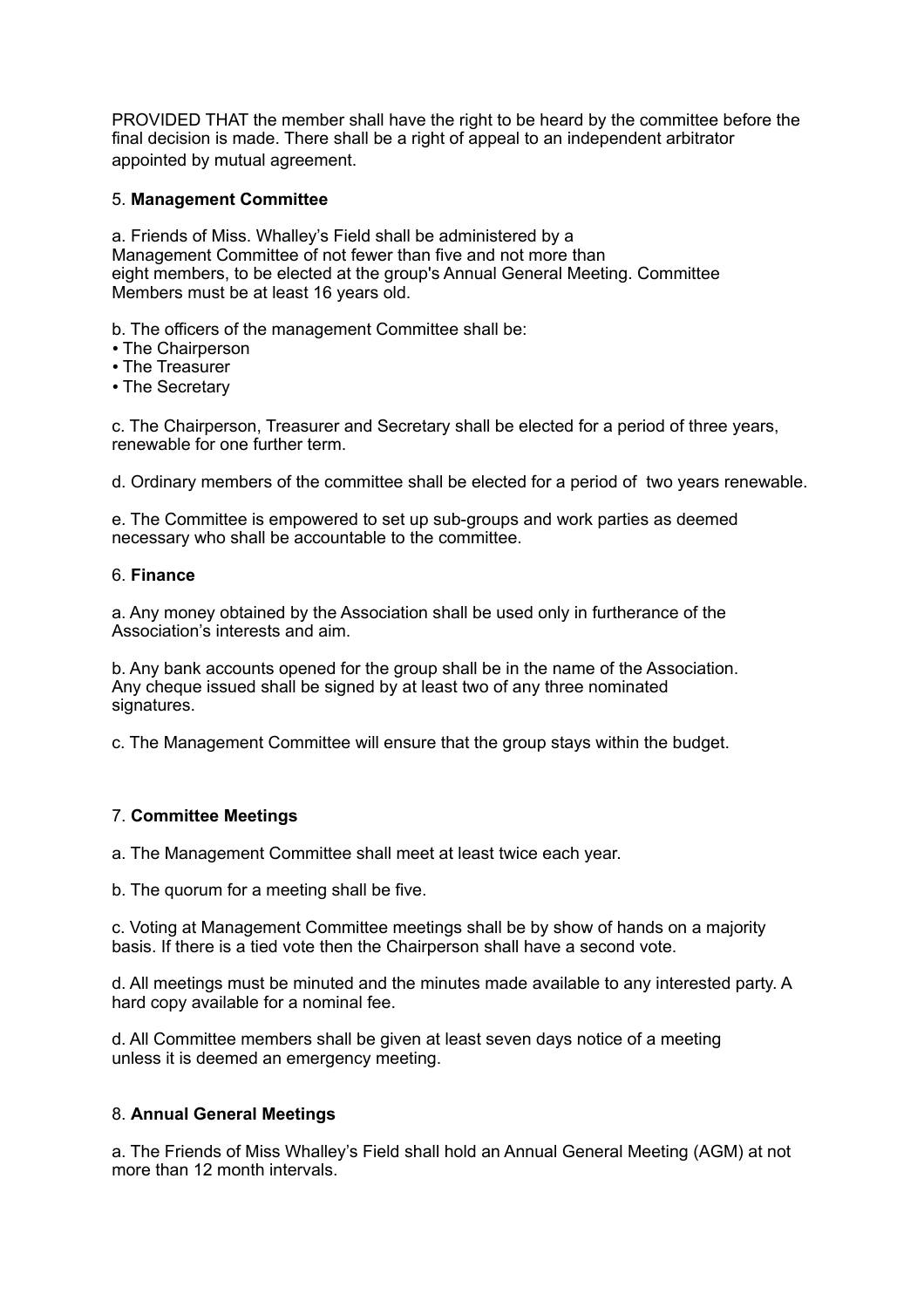PROVIDED THAT the member shall have the right to be heard by the committee before the final decision is made. There shall be a right of appeal to an independent arbitrator appointed by mutual agreement.

#### 5. **Management Committee**

a. Friends of Miss. Whalley's Field shall be administered by a Management Committee of not fewer than five and not more than eight members, to be elected at the group's Annual General Meeting. Committee Members must be at least 16 years old.

b. The officers of the management Committee shall be:

- The Chairperson
- The Treasurer
- The Secretary

c. The Chairperson, Treasurer and Secretary shall be elected for a period of three years, renewable for one further term.

d. Ordinary members of the committee shall be elected for a period of two years renewable.

e. The Committee is empowered to set up sub-groups and work parties as deemed necessary who shall be accountable to the committee.

#### 6. **Finance**

a. Any money obtained by the Association shall be used only in furtherance of the Association's interests and aim.

b. Any bank accounts opened for the group shall be in the name of the Association. Any cheque issued shall be signed by at least two of any three nominated signatures.

c. The Management Committee will ensure that the group stays within the budget.

#### 7. **Committee Meetings**

a. The Management Committee shall meet at least twice each year.

b. The quorum for a meeting shall be five.

c. Voting at Management Committee meetings shall be by show of hands on a majority basis. If there is a tied vote then the Chairperson shall have a second vote.

d. All meetings must be minuted and the minutes made available to any interested party. A hard copy available for a nominal fee.

d. All Committee members shall be given at least seven days notice of a meeting unless it is deemed an emergency meeting.

#### 8. **Annual General Meetings**

a. The Friends of Miss Whalley's Field shall hold an Annual General Meeting (AGM) at not more than 12 month intervals.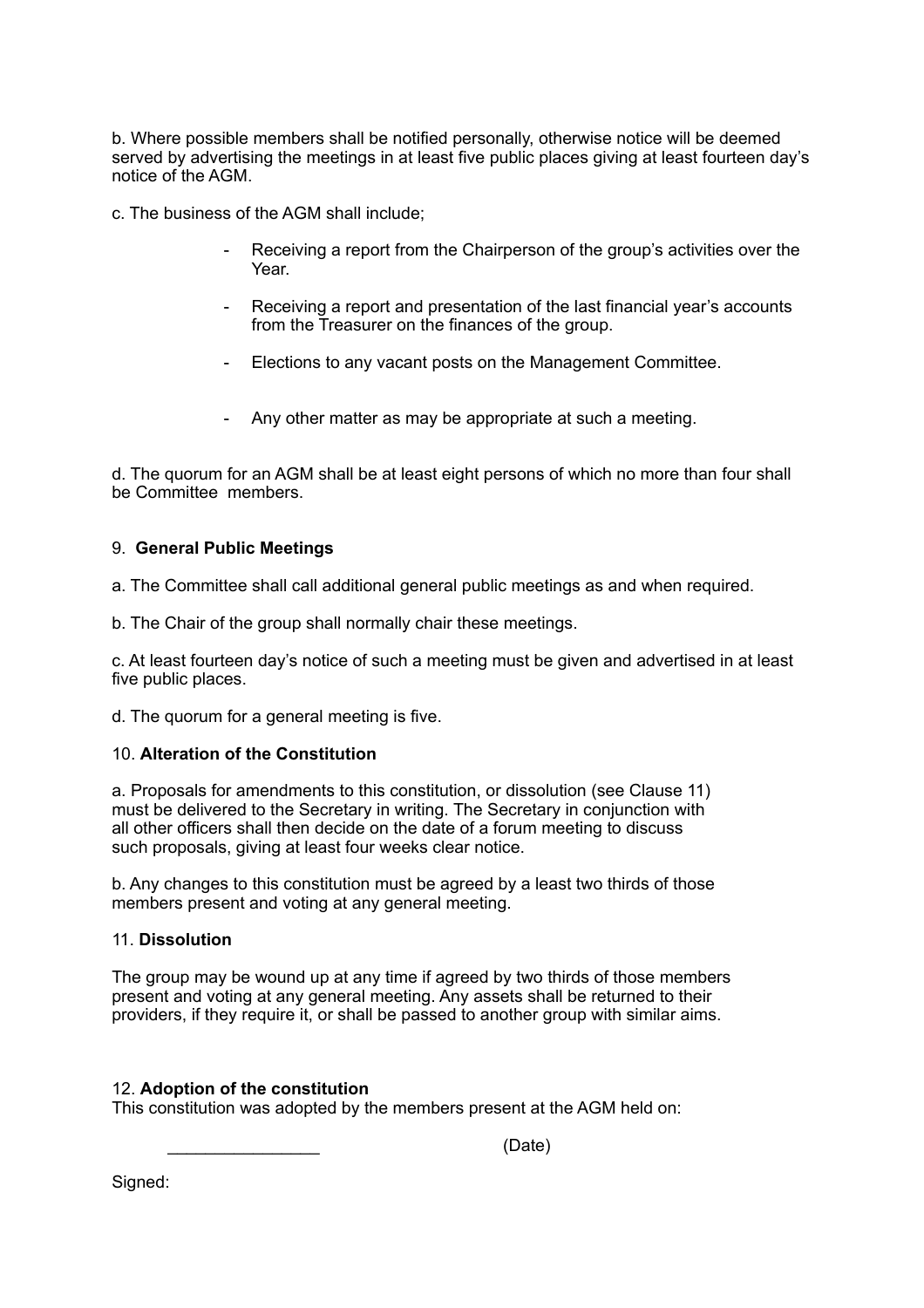b. Where possible members shall be notified personally, otherwise notice will be deemed served by advertising the meetings in at least five public places giving at least fourteen day's notice of the AGM.

c. The business of the AGM shall include;

- Receiving a report from the Chairperson of the group's activities over the Year.
- Receiving a report and presentation of the last financial year's accounts from the Treasurer on the finances of the group.
- Elections to any vacant posts on the Management Committee.
- Any other matter as may be appropriate at such a meeting.

d. The quorum for an AGM shall be at least eight persons of which no more than four shall be Committee members.

#### 9. **General Public Meetings**

a. The Committee shall call additional general public meetings as and when required.

b. The Chair of the group shall normally chair these meetings.

c. At least fourteen day's notice of such a meeting must be given and advertised in at least five public places.

d. The quorum for a general meeting is five.

#### 10. **Alteration of the Constitution**

a. Proposals for amendments to this constitution, or dissolution (see Clause 11) must be delivered to the Secretary in writing. The Secretary in conjunction with all other officers shall then decide on the date of a forum meeting to discuss such proposals, giving at least four weeks clear notice.

b. Any changes to this constitution must be agreed by a least two thirds of those members present and voting at any general meeting.

#### 11. **Dissolution**

The group may be wound up at any time if agreed by two thirds of those members present and voting at any general meeting. Any assets shall be returned to their providers, if they require it, or shall be passed to another group with similar aims.

#### 12. **Adoption of the constitution**

This constitution was adopted by the members present at the AGM held on:

\_\_\_\_\_\_\_\_\_\_\_\_\_\_\_\_ (Date)

Signed: